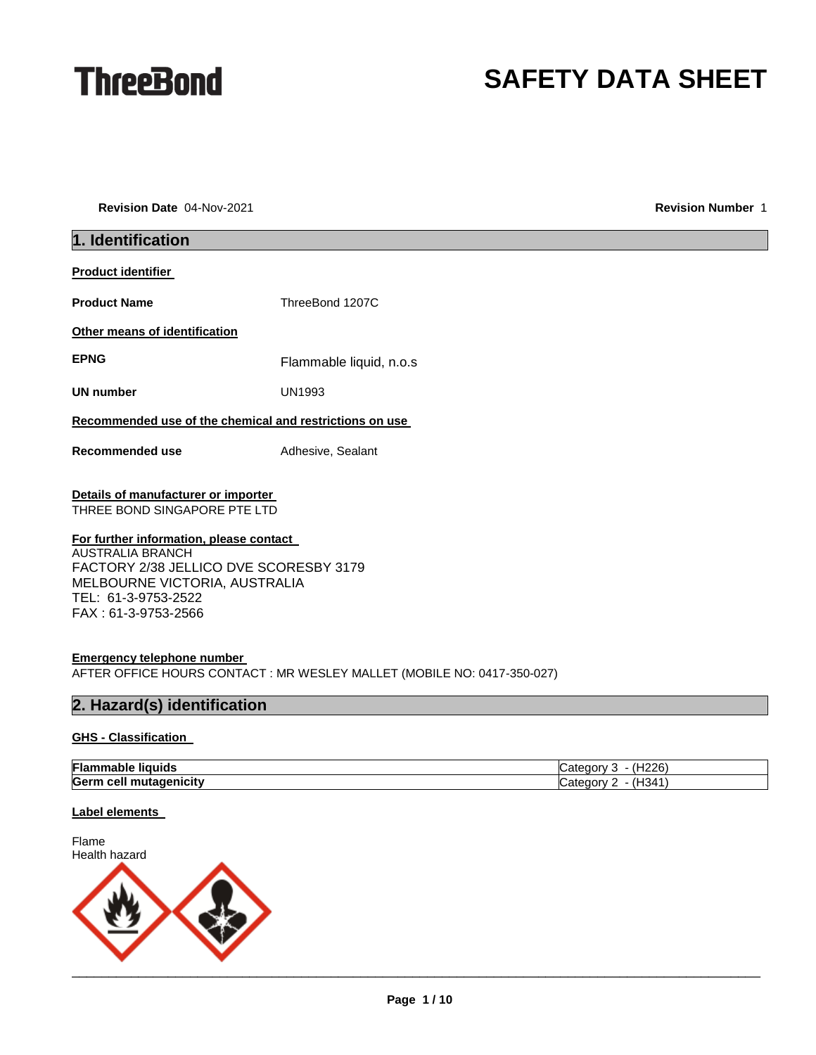

# **SAFETY DATA SHEET**

**Revision Date** 04-Nov-2021 **Revision Number** 1

| 1. Identification                                                                                                                                                                           |                                                                         |  |  |
|---------------------------------------------------------------------------------------------------------------------------------------------------------------------------------------------|-------------------------------------------------------------------------|--|--|
| <b>Product identifier</b>                                                                                                                                                                   |                                                                         |  |  |
| <b>Product Name</b>                                                                                                                                                                         | ThreeBond 1207C                                                         |  |  |
| Other means of identification                                                                                                                                                               |                                                                         |  |  |
| <b>EPNG</b>                                                                                                                                                                                 | Flammable liquid, n.o.s                                                 |  |  |
| <b>UN number</b>                                                                                                                                                                            | <b>UN1993</b>                                                           |  |  |
| Recommended use of the chemical and restrictions on use                                                                                                                                     |                                                                         |  |  |
| Recommended use                                                                                                                                                                             | Adhesive, Sealant                                                       |  |  |
| Details of manufacturer or importer<br>THREE BOND SINGAPORE PTE LTD                                                                                                                         |                                                                         |  |  |
| For further information, please contact<br><b>AUSTRALIA BRANCH</b><br>FACTORY 2/38 JELLICO DVE SCORESBY 3179<br>MELBOURNE VICTORIA, AUSTRALIA<br>TEL: 61-3-9753-2522<br>FAX: 61-3-9753-2566 |                                                                         |  |  |
| <b>Emergency telephone number</b>                                                                                                                                                           | AFTER OFFICE HOURS CONTACT : MR WESLEY MALLET (MOBILE NO: 0417-350-027) |  |  |
| 2. Hazard(s) identification                                                                                                                                                                 |                                                                         |  |  |
| <b>GHS - Classification</b>                                                                                                                                                                 |                                                                         |  |  |
| <b>Flammable liquids</b>                                                                                                                                                                    | Category 3 - (H226)                                                     |  |  |
| Germ cell mutagenicity                                                                                                                                                                      | Category 2 - (H341)                                                     |  |  |
| <b>Label elements</b>                                                                                                                                                                       |                                                                         |  |  |
| Flame<br>Health hazard                                                                                                                                                                      |                                                                         |  |  |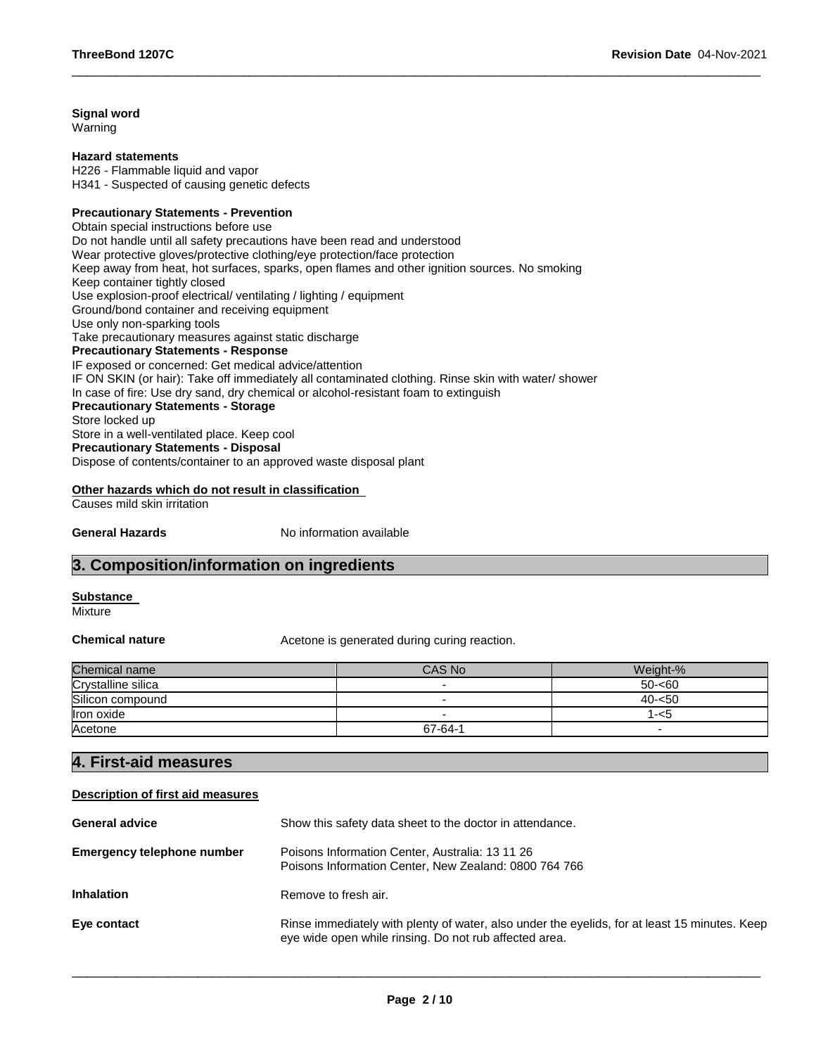## **Signal word**

Warning

#### **Hazard statements**

H226 - Flammable liquid and vapor H341 - Suspected of causing genetic defects

## **Precautionary Statements - Prevention**

Obtain special instructions before use Do not handle until all safety precautions have been read and understood Wear protective gloves/protective clothing/eye protection/face protection Keep away from heat, hot surfaces, sparks, open flames and other ignition sources. No smoking Keep container tightly closed Use explosion-proof electrical/ ventilating / lighting / equipment Ground/bond container and receiving equipment Use only non-sparking tools Take precautionary measures against static discharge **Precautionary Statements - Response** IF exposed or concerned: Get medical advice/attention IF ON SKIN (or hair): Take off immediately all contaminated clothing. Rinse skin with water/ shower In case of fire: Use dry sand, dry chemical or alcohol-resistant foam to extinguish **Precautionary Statements - Storage** Store locked up Store in a well-ventilated place. Keep cool **Precautionary Statements - Disposal** Dispose of contents/container to an approved waste disposal plant

## **Other hazards which do not result in classification**

Causes mild skin irritation

**General Hazards No information available** 

## **3. Composition/information on ingredients**

**Substance** 

Mixture

**Chemical nature Acetone is generated during curing reaction.** 

| Chemical name      | CAS No  | Weight-%  |
|--------------------|---------|-----------|
| Crystalline silica |         | $50 - 60$ |
| Silicon compound   |         | $40 - 50$ |
| Iron oxide         |         | 1-<5      |
| Acetone            | 67-64-1 |           |

\_\_\_\_\_\_\_\_\_\_\_\_\_\_\_\_\_\_\_\_\_\_\_\_\_\_\_\_\_\_\_\_\_\_\_\_\_\_\_\_\_\_\_\_\_\_\_\_\_\_\_\_\_\_\_\_\_\_\_\_\_\_\_\_\_\_\_\_\_\_\_\_\_\_\_\_\_\_\_\_\_\_\_\_\_\_\_\_\_\_\_\_\_

## **4. First-aid measures**

#### **Description of first aid measures**

| <b>General advice</b>      | Show this safety data sheet to the doctor in attendance.                                                                                                |  |
|----------------------------|---------------------------------------------------------------------------------------------------------------------------------------------------------|--|
| Emergency telephone number | Poisons Information Center, Australia: 13 11 26<br>Poisons Information Center, New Zealand: 0800 764 766                                                |  |
| <b>Inhalation</b>          | Remove to fresh air.                                                                                                                                    |  |
| Eye contact                | Rinse immediately with plenty of water, also under the eyelids, for at least 15 minutes. Keep<br>eye wide open while rinsing. Do not rub affected area. |  |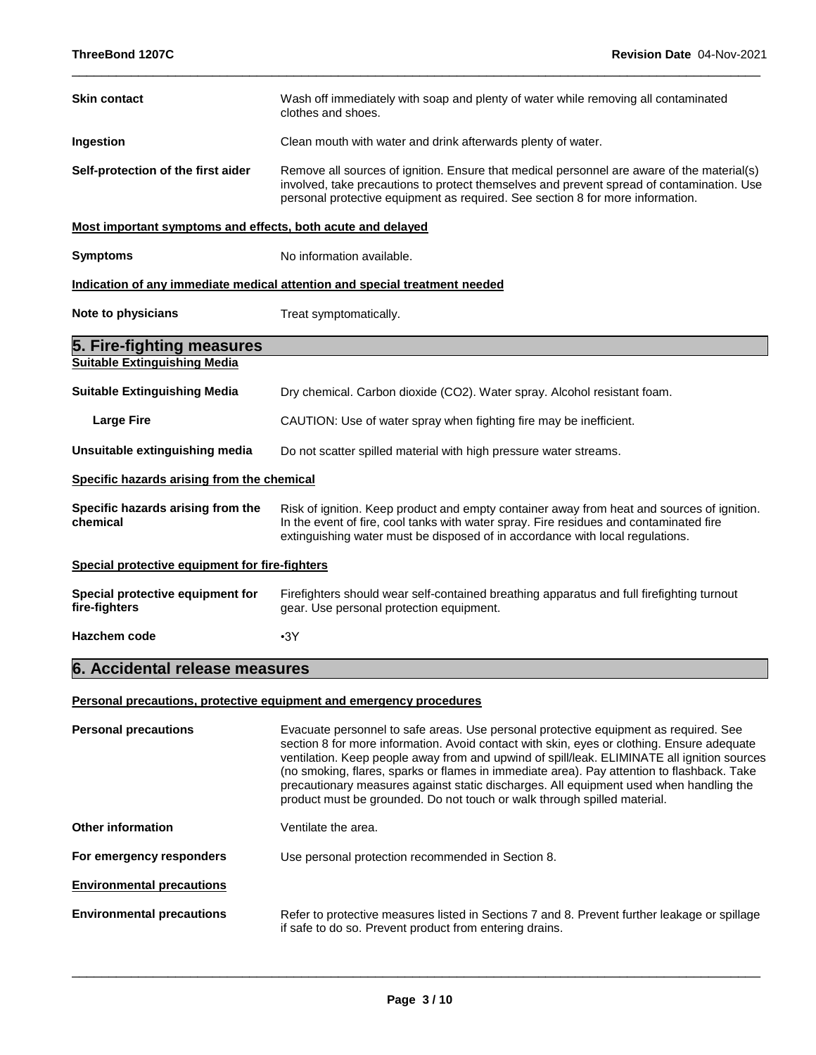| <b>Skin contact</b>                                         | Wash off immediately with soap and plenty of water while removing all contaminated<br>clothes and shoes.                                                                                                                                                                                                                                                                                                                                                                                                                                              |  |  |
|-------------------------------------------------------------|-------------------------------------------------------------------------------------------------------------------------------------------------------------------------------------------------------------------------------------------------------------------------------------------------------------------------------------------------------------------------------------------------------------------------------------------------------------------------------------------------------------------------------------------------------|--|--|
| Ingestion                                                   | Clean mouth with water and drink afterwards plenty of water.                                                                                                                                                                                                                                                                                                                                                                                                                                                                                          |  |  |
| Self-protection of the first aider                          | Remove all sources of ignition. Ensure that medical personnel are aware of the material(s)<br>involved, take precautions to protect themselves and prevent spread of contamination. Use<br>personal protective equipment as required. See section 8 for more information.                                                                                                                                                                                                                                                                             |  |  |
| Most important symptoms and effects, both acute and delayed |                                                                                                                                                                                                                                                                                                                                                                                                                                                                                                                                                       |  |  |
| <b>Symptoms</b>                                             | No information available.                                                                                                                                                                                                                                                                                                                                                                                                                                                                                                                             |  |  |
|                                                             | Indication of any immediate medical attention and special treatment needed                                                                                                                                                                                                                                                                                                                                                                                                                                                                            |  |  |
| Note to physicians                                          | Treat symptomatically.                                                                                                                                                                                                                                                                                                                                                                                                                                                                                                                                |  |  |
| 5. Fire-fighting measures                                   |                                                                                                                                                                                                                                                                                                                                                                                                                                                                                                                                                       |  |  |
| <b>Suitable Extinguishing Media</b>                         |                                                                                                                                                                                                                                                                                                                                                                                                                                                                                                                                                       |  |  |
| <b>Suitable Extinguishing Media</b>                         | Dry chemical. Carbon dioxide (CO2). Water spray. Alcohol resistant foam.                                                                                                                                                                                                                                                                                                                                                                                                                                                                              |  |  |
| <b>Large Fire</b>                                           | CAUTION: Use of water spray when fighting fire may be inefficient.                                                                                                                                                                                                                                                                                                                                                                                                                                                                                    |  |  |
| Unsuitable extinguishing media                              | Do not scatter spilled material with high pressure water streams.                                                                                                                                                                                                                                                                                                                                                                                                                                                                                     |  |  |
| Specific hazards arising from the chemical                  |                                                                                                                                                                                                                                                                                                                                                                                                                                                                                                                                                       |  |  |
| Specific hazards arising from the<br>chemical               | Risk of ignition. Keep product and empty container away from heat and sources of ignition.<br>In the event of fire, cool tanks with water spray. Fire residues and contaminated fire<br>extinguishing water must be disposed of in accordance with local regulations.                                                                                                                                                                                                                                                                                 |  |  |
| Special protective equipment for fire-fighters              |                                                                                                                                                                                                                                                                                                                                                                                                                                                                                                                                                       |  |  |
| Special protective equipment for<br>fire-fighters           | Firefighters should wear self-contained breathing apparatus and full firefighting turnout<br>gear. Use personal protection equipment.                                                                                                                                                                                                                                                                                                                                                                                                                 |  |  |
| <b>Hazchem code</b>                                         | •3Y                                                                                                                                                                                                                                                                                                                                                                                                                                                                                                                                                   |  |  |
| 6. Accidental release measures                              |                                                                                                                                                                                                                                                                                                                                                                                                                                                                                                                                                       |  |  |
|                                                             | Personal precautions, protective equipment and emergency procedures                                                                                                                                                                                                                                                                                                                                                                                                                                                                                   |  |  |
| <b>Personal precautions</b>                                 | Evacuate personnel to safe areas. Use personal protective equipment as required. See<br>section 8 for more information. Avoid contact with skin, eyes or clothing. Ensure adequate<br>ventilation. Keep people away from and upwind of spill/leak. ELIMINATE all ignition sources<br>(no smoking, flares, sparks or flames in immediate area). Pay attention to flashback. Take<br>precautionary measures against static discharges. All equipment used when handling the<br>product must be grounded. Do not touch or walk through spilled material. |  |  |
| <b>Other information</b>                                    | Ventilate the area.                                                                                                                                                                                                                                                                                                                                                                                                                                                                                                                                   |  |  |
| For emergency responders                                    | Use personal protection recommended in Section 8.                                                                                                                                                                                                                                                                                                                                                                                                                                                                                                     |  |  |
| <b>Environmental precautions</b>                            |                                                                                                                                                                                                                                                                                                                                                                                                                                                                                                                                                       |  |  |
| <b>Environmental precautions</b>                            | Refer to protective measures listed in Sections 7 and 8. Prevent further leakage or spillage<br>if safe to do so. Prevent product from entering drains.                                                                                                                                                                                                                                                                                                                                                                                               |  |  |

\_\_\_\_\_\_\_\_\_\_\_\_\_\_\_\_\_\_\_\_\_\_\_\_\_\_\_\_\_\_\_\_\_\_\_\_\_\_\_\_\_\_\_\_\_\_\_\_\_\_\_\_\_\_\_\_\_\_\_\_\_\_\_\_\_\_\_\_\_\_\_\_\_\_\_\_\_\_\_\_\_\_\_\_\_\_\_\_\_\_\_\_\_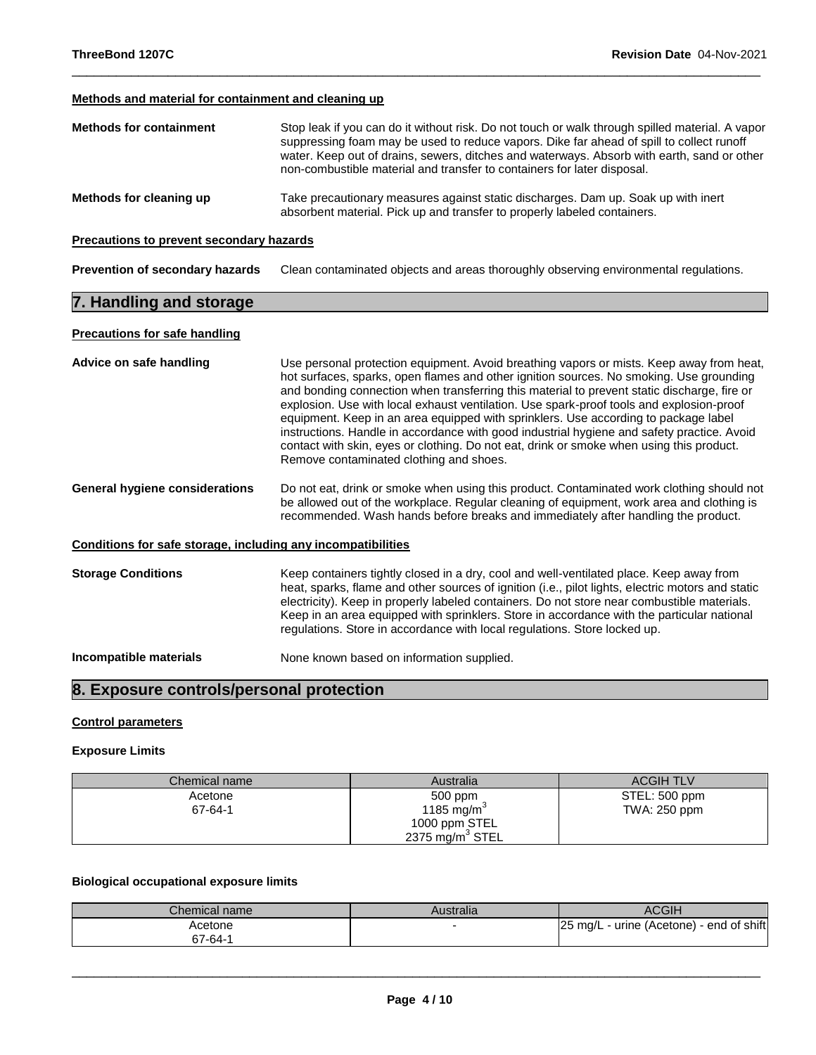## **Methods and material for containment and cleaning up**

| <b>Methods for containment</b> | Stop leak if you can do it without risk. Do not touch or walk through spilled material. A vapor<br>suppressing foam may be used to reduce vapors. Dike far ahead of spill to collect runoff<br>water. Keep out of drains, sewers, ditches and waterways. Absorb with earth, sand or other<br>non-combustible material and transfer to containers for later disposal. |
|--------------------------------|----------------------------------------------------------------------------------------------------------------------------------------------------------------------------------------------------------------------------------------------------------------------------------------------------------------------------------------------------------------------|
| Methods for cleaning up        | Take precautionary measures against static discharges. Dam up. Soak up with inert<br>absorbent material. Pick up and transfer to properly labeled containers.                                                                                                                                                                                                        |

\_\_\_\_\_\_\_\_\_\_\_\_\_\_\_\_\_\_\_\_\_\_\_\_\_\_\_\_\_\_\_\_\_\_\_\_\_\_\_\_\_\_\_\_\_\_\_\_\_\_\_\_\_\_\_\_\_\_\_\_\_\_\_\_\_\_\_\_\_\_\_\_\_\_\_\_\_\_\_\_\_\_\_\_\_\_\_\_\_\_\_\_\_

## **Precautions to prevent secondary hazards**

**Prevention of secondary hazards** Clean contaminated objects and areas thoroughly observing environmental regulations.

## **7. Handling and storage**

## **Precautions for safe handling**

| Advice on safe handling                                      | Use personal protection equipment. Avoid breathing vapors or mists. Keep away from heat,<br>hot surfaces, sparks, open flames and other ignition sources. No smoking. Use grounding<br>and bonding connection when transferring this material to prevent static discharge, fire or<br>explosion. Use with local exhaust ventilation. Use spark-proof tools and explosion-proof<br>equipment. Keep in an area equipped with sprinklers. Use according to package label<br>instructions. Handle in accordance with good industrial hygiene and safety practice. Avoid<br>contact with skin, eyes or clothing. Do not eat, drink or smoke when using this product.<br>Remove contaminated clothing and shoes. |  |
|--------------------------------------------------------------|------------------------------------------------------------------------------------------------------------------------------------------------------------------------------------------------------------------------------------------------------------------------------------------------------------------------------------------------------------------------------------------------------------------------------------------------------------------------------------------------------------------------------------------------------------------------------------------------------------------------------------------------------------------------------------------------------------|--|
| General hygiene considerations                               | Do not eat, drink or smoke when using this product. Contaminated work clothing should not<br>be allowed out of the workplace. Regular cleaning of equipment, work area and clothing is<br>recommended. Wash hands before breaks and immediately after handling the product.                                                                                                                                                                                                                                                                                                                                                                                                                                |  |
| Conditions for safe storage, including any incompatibilities |                                                                                                                                                                                                                                                                                                                                                                                                                                                                                                                                                                                                                                                                                                            |  |
| <b>Storage Conditions</b>                                    | Keep containers tightly closed in a dry, cool and well-ventilated place. Keep away from<br>heat, sparks, flame and other sources of ignition (i.e., pilot lights, electric motors and static<br>electricity). Keep in properly labeled containers. Do not store near combustible materials.<br>Keep in an area equipped with sprinklers. Store in accordance with the particular national<br>regulations. Store in accordance with local regulations. Store locked up.                                                                                                                                                                                                                                     |  |
| Incompatible materials                                       | None known based on information supplied.                                                                                                                                                                                                                                                                                                                                                                                                                                                                                                                                                                                                                                                                  |  |

## **8. Exposure controls/personal protection**

## **Control parameters**

## **Exposure Limits**

| Chemical name | Australia              | <b>ACGIH TLV</b> |
|---------------|------------------------|------------------|
| Acetone       | 500 ppm                | STEL: 500 ppm    |
| 67-64-1       | 1185 mg/m <sup>3</sup> | TWA: 250 ppm     |
|               | 1000 ppm STEL          |                  |
|               | 2375 mg/m $3$ STEL     |                  |

## **Biological occupational exposure limits**

| Chemical name | Australia | <b>ACGIH</b>                                          |
|---------------|-----------|-------------------------------------------------------|
| Acetone       |           | - urine (Acetone) - end of shift<br>$25 \text{ ma/L}$ |
| 67-64-1       |           |                                                       |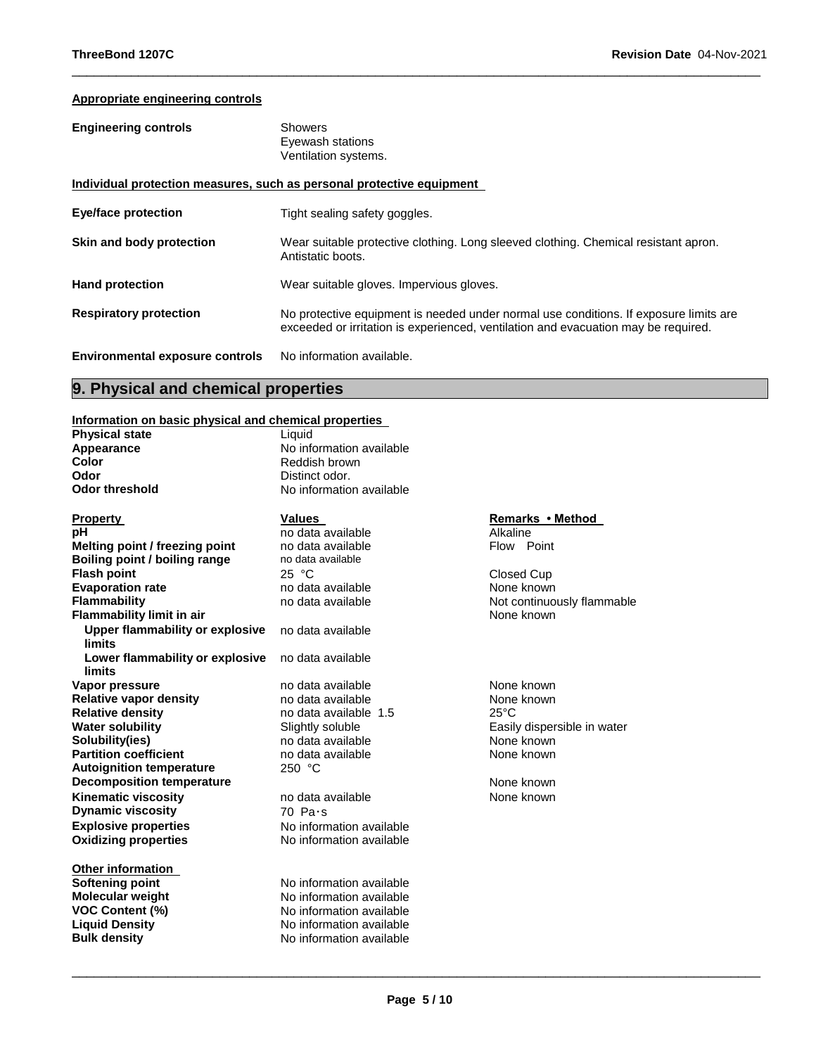## **Appropriate engineering controls**

| <b>Engineering controls</b>            | <b>Showers</b><br>Eyewash stations<br>Ventilation systems.                                                                                                                  |  |
|----------------------------------------|-----------------------------------------------------------------------------------------------------------------------------------------------------------------------------|--|
|                                        | Individual protection measures, such as personal protective equipment                                                                                                       |  |
| <b>Eye/face protection</b>             | Tight sealing safety goggles.                                                                                                                                               |  |
| Skin and body protection               | Wear suitable protective clothing. Long sleeved clothing. Chemical resistant apron.<br>Antistatic boots.                                                                    |  |
| <b>Hand protection</b>                 | Wear suitable gloves. Impervious gloves.                                                                                                                                    |  |
| <b>Respiratory protection</b>          | No protective equipment is needed under normal use conditions. If exposure limits are<br>exceeded or irritation is experienced, ventilation and evacuation may be required. |  |
| <b>Environmental exposure controls</b> | No information available.                                                                                                                                                   |  |

\_\_\_\_\_\_\_\_\_\_\_\_\_\_\_\_\_\_\_\_\_\_\_\_\_\_\_\_\_\_\_\_\_\_\_\_\_\_\_\_\_\_\_\_\_\_\_\_\_\_\_\_\_\_\_\_\_\_\_\_\_\_\_\_\_\_\_\_\_\_\_\_\_\_\_\_\_\_\_\_\_\_\_\_\_\_\_\_\_\_\_\_\_

## **9. Physical and chemical properties**

## **Information on basic physical and chemical properties**

| <b>Physical state</b>                            | Liquid                   |                |
|--------------------------------------------------|--------------------------|----------------|
| Appearance                                       | No information available |                |
| Color                                            | Reddish brown            |                |
| Odor                                             | Distinct odor.           |                |
| <b>Odor threshold</b>                            | No information available |                |
| <u>Property</u>                                  | Values                   | <b>Remark</b>  |
| pН                                               | no data available        | Alkaline       |
| Melting point / freezing point                   | no data available        | Flow P         |
| Boiling point / boiling range                    | no data available        |                |
| <b>Flash point</b>                               | 25 °C                    | Closed C       |
| <b>Evaporation rate</b>                          | no data available        | None kn        |
| Flammability                                     | no data available        | Not cont       |
| <b>Flammability limit in air</b>                 |                          | None kn        |
| <b>Upper flammability or explosive</b><br>limits | no data available        |                |
| Lower flammability or explosive<br>limits        | no data available        |                |
| Vapor pressure                                   | no data available        | None kn        |
| <b>Relative vapor density</b>                    | no data available        | None kn        |
| <b>Relative density</b>                          | no data available 1.5    | $25^{\circ}$ C |
| <b>Water solubility</b>                          | Slightly soluble         | Easily di      |
| Solubility(ies)                                  | no data available        | None kn        |
| <b>Partition coefficient</b>                     | no data available        | None kn        |
| <b>Autoignition temperature</b>                  | 250 °C                   |                |
| <b>Decomposition temperature</b>                 |                          | None kn        |
| Kinematic viscosity                              | no data available        | None kn        |
| <b>Dynamic viscosity</b>                         | $70$ Pa $\cdot$ s        |                |
| <b>Explosive properties</b>                      | No information available |                |
| <b>Oxidizing properties</b>                      | No information available |                |
| <b>Other information</b>                         |                          |                |
| <b>Softening point</b>                           | No information available |                |
| Molecular weight                                 | No information available |                |
| <b>VOC Content (%)</b>                           | No information available |                |
| <b>Liquid Density</b>                            | No information available |                |
| <b>Bulk density</b>                              | No information available |                |
|                                                  |                          |                |

## **Remarks • Method**<br>Alkaline

**Flow Point** 

**Closed Cup None known** Not continuously flammable **None known** 

**None known None known**<br>25°C **Easily dispersible in water** None known **None known** 

**None known None known**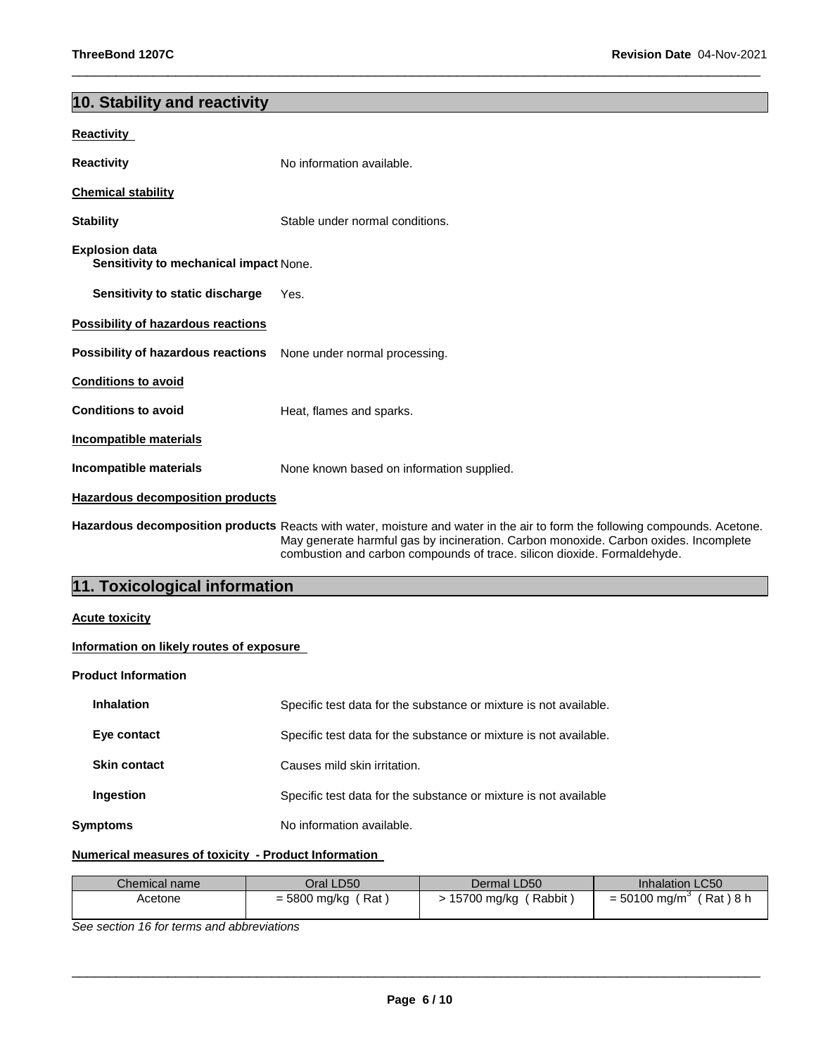## **10. Stability and reactivity**

| Reactivity                                               |                                                                                                                                                                                                                                                                                                 |  |  |
|----------------------------------------------------------|-------------------------------------------------------------------------------------------------------------------------------------------------------------------------------------------------------------------------------------------------------------------------------------------------|--|--|
| <b>Reactivity</b>                                        | No information available.                                                                                                                                                                                                                                                                       |  |  |
| <b>Chemical stability</b>                                |                                                                                                                                                                                                                                                                                                 |  |  |
| <b>Stability</b>                                         | Stable under normal conditions.                                                                                                                                                                                                                                                                 |  |  |
| Explosion data<br>Sensitivity to mechanical impact None. |                                                                                                                                                                                                                                                                                                 |  |  |
| Sensitivity to static discharge                          | Yes.                                                                                                                                                                                                                                                                                            |  |  |
| <b>Possibility of hazardous reactions</b>                |                                                                                                                                                                                                                                                                                                 |  |  |
| Possibility of hazardous reactions                       | None under normal processing.                                                                                                                                                                                                                                                                   |  |  |
| <b>Conditions to avoid</b>                               |                                                                                                                                                                                                                                                                                                 |  |  |
| <b>Conditions to avoid</b>                               | Heat, flames and sparks.                                                                                                                                                                                                                                                                        |  |  |
| Incompatible materials                                   |                                                                                                                                                                                                                                                                                                 |  |  |
| Incompatible materials                                   | None known based on information supplied.                                                                                                                                                                                                                                                       |  |  |
| <b>Hazardous decomposition products</b>                  |                                                                                                                                                                                                                                                                                                 |  |  |
|                                                          | Hazardous decomposition products Reacts with water, moisture and water in the air to form the following compounds. Acetone.<br>May generate harmful gas by incineration. Carbon monoxide. Carbon oxides. Incomplete<br>combustion and carbon compounds of trace. silicon dioxide. Formaldehyde. |  |  |
| 11. Toxicological information                            |                                                                                                                                                                                                                                                                                                 |  |  |
| <b>Acute toxicity</b>                                    |                                                                                                                                                                                                                                                                                                 |  |  |
| Information on likely routes of exposure                 |                                                                                                                                                                                                                                                                                                 |  |  |
| <b>Product Information</b>                               |                                                                                                                                                                                                                                                                                                 |  |  |
| <b>Inhalation</b>                                        | Specific test data for the substance or mixture is not available.                                                                                                                                                                                                                               |  |  |
| Eye contact                                              | Specific test data for the substance or mixture is not available.                                                                                                                                                                                                                               |  |  |
| <b>Skin contact</b>                                      | Causes mild skin irritation.                                                                                                                                                                                                                                                                    |  |  |
| Ingestion                                                | Specific test data for the substance or mixture is not available                                                                                                                                                                                                                                |  |  |

\_\_\_\_\_\_\_\_\_\_\_\_\_\_\_\_\_\_\_\_\_\_\_\_\_\_\_\_\_\_\_\_\_\_\_\_\_\_\_\_\_\_\_\_\_\_\_\_\_\_\_\_\_\_\_\_\_\_\_\_\_\_\_\_\_\_\_\_\_\_\_\_\_\_\_\_\_\_\_\_\_\_\_\_\_\_\_\_\_\_\_\_\_

**Symptoms** No information available.

## **Numerical measures of toxicity - Product Information**

| Chemical name | Oral LD50    | Dermal LD50   | <b>Inhalation LC50</b>  |
|---------------|--------------|---------------|-------------------------|
| Acetone       | ์ Rat        | Rabbit        | Rat ) 8 h               |
|               | = 5800 mg/kg | > 15700 mg/kg | = 50100 mg/m $^{\circ}$ |

*See section 16 for terms and abbreviations*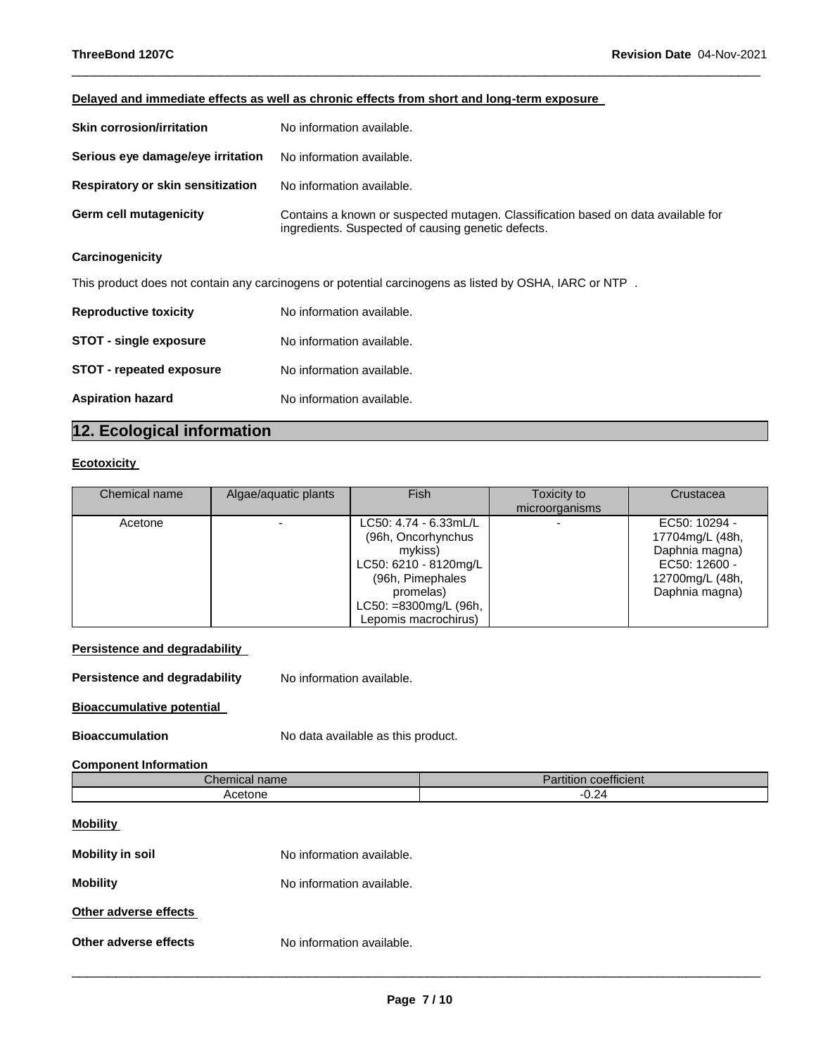## **Delayed and immediate effects as well as chronic effects from short and long-term exposure**

| <b>Skin corrosion/irritation</b>  | No information available.                                                                                                               |
|-----------------------------------|-----------------------------------------------------------------------------------------------------------------------------------------|
| Serious eye damage/eye irritation | No information available.                                                                                                               |
| Respiratory or skin sensitization | No information available.                                                                                                               |
| Germ cell mutagenicity            | Contains a known or suspected mutagen. Classification based on data available for<br>ingredients. Suspected of causing genetic defects. |
|                                   |                                                                                                                                         |

\_\_\_\_\_\_\_\_\_\_\_\_\_\_\_\_\_\_\_\_\_\_\_\_\_\_\_\_\_\_\_\_\_\_\_\_\_\_\_\_\_\_\_\_\_\_\_\_\_\_\_\_\_\_\_\_\_\_\_\_\_\_\_\_\_\_\_\_\_\_\_\_\_\_\_\_\_\_\_\_\_\_\_\_\_\_\_\_\_\_\_\_\_

## **Carcinogenicity**

This product does not contain any carcinogens or potential carcinogens as listed by OSHA, IARC or NTP .

| <b>Reproductive toxicity</b>    | No information available. |
|---------------------------------|---------------------------|
| <b>STOT - single exposure</b>   | No information available. |
| <b>STOT - repeated exposure</b> | No information available. |
| <b>Aspiration hazard</b>        | No information available. |

## **12. Ecological information**

## **Ecotoxicity**

| Chemical name | Algae/aquatic plants | Fish                                                                                                                                                              | Toxicity to<br>microorganisms | Crustacea                                                                                                |
|---------------|----------------------|-------------------------------------------------------------------------------------------------------------------------------------------------------------------|-------------------------------|----------------------------------------------------------------------------------------------------------|
| Acetone       | -                    | LC50: 4.74 - 6.33mL/L<br>(96h, Oncorhynchus<br>mvkiss)<br>LC50: 6210 - 8120mg/L<br>(96h, Pimephales<br>promelas)<br>LC50: =8300mg/L (96h,<br>Lepomis macrochirus) |                               | EC50: 10294 -<br>17704mg/L (48h,<br>Daphnia magna)<br>EC50: 12600 -<br>12700mg/L (48h,<br>Daphnia magna) |

## **Persistence and degradability**

**Persistence and degradability** No information available.

## **Bioaccumulative potential**

**Bioaccumulation No data available as this product.** 

## **Component Information**

| Chemical name | $\overline{\phantom{a}}$<br><b>ALL 2015</b><br>coefficient<br>'artition |
|---------------|-------------------------------------------------------------------------|
| Acetone       | 0.24                                                                    |
|               |                                                                         |

## **Mobility**

| <b>Mobility in soil</b> | No information available. |
|-------------------------|---------------------------|
| <b>Mobility</b>         | No information available. |
| Other adverse effects   |                           |
| Other adverse effects   | No information available. |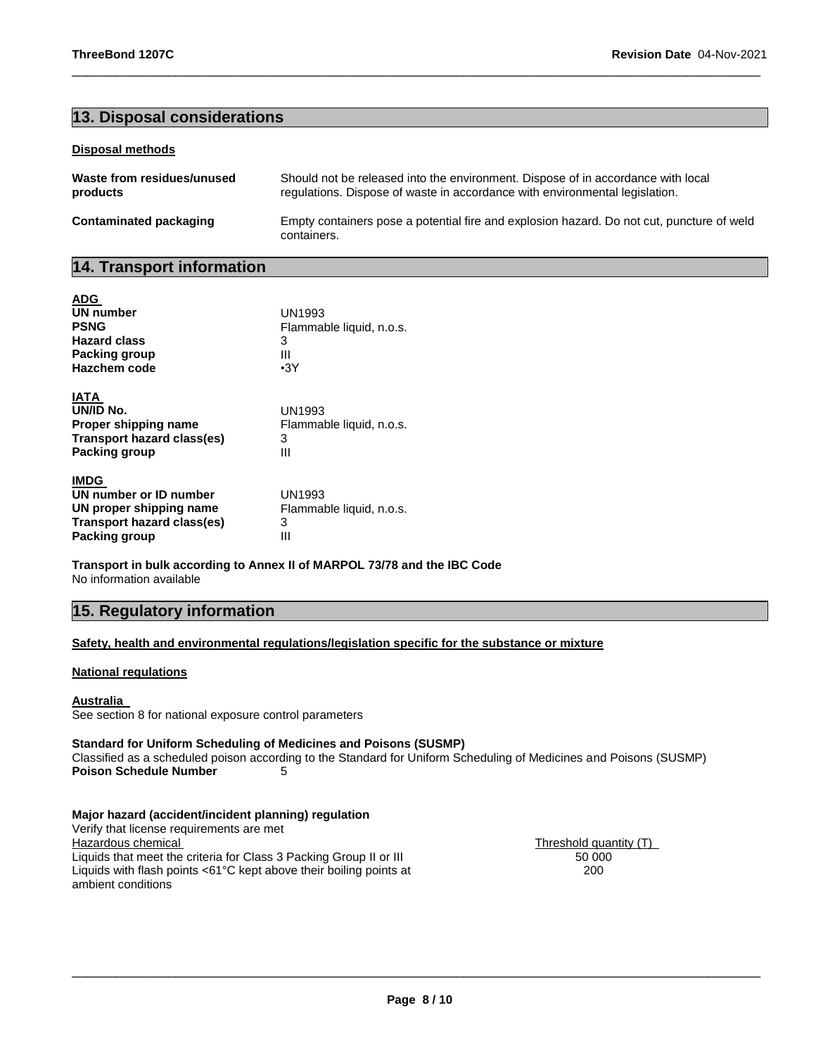## **13. Disposal considerations**

#### **Disposal methods**

| Waste from residues/unused | Should not be released into the environment. Dispose of in accordance with local                         |
|----------------------------|----------------------------------------------------------------------------------------------------------|
| products                   | regulations. Dispose of waste in accordance with environmental legislation.                              |
| Contaminated packaging     | Empty containers pose a potential fire and explosion hazard. Do not cut, puncture of weld<br>containers. |

\_\_\_\_\_\_\_\_\_\_\_\_\_\_\_\_\_\_\_\_\_\_\_\_\_\_\_\_\_\_\_\_\_\_\_\_\_\_\_\_\_\_\_\_\_\_\_\_\_\_\_\_\_\_\_\_\_\_\_\_\_\_\_\_\_\_\_\_\_\_\_\_\_\_\_\_\_\_\_\_\_\_\_\_\_\_\_\_\_\_\_\_\_

## **14. Transport information**

| <b>ADG</b>                 |                          |
|----------------------------|--------------------------|
| <b>UN number</b>           | <b>UN1993</b>            |
| <b>PSNG</b>                | Flammable liquid, n.o.s. |
| <b>Hazard class</b>        | 3                        |
| Packing group              | Ш                        |
| Hazchem code               | $\cdot$ 3Y               |
| IATA                       |                          |
| UN/ID No.                  | <b>UN1993</b>            |
| Proper shipping name       | Flammable liquid, n.o.s. |
| Transport hazard class(es) | 3                        |
| Packing group              | Ш                        |
| <b>IMDG</b>                |                          |
| UN number or ID number     | UN1993                   |
| UN proper shipping name    | Flammable liquid, n.o.s. |
| Transport hazard class(es) | 3                        |
| Packing group              | Ш                        |

**Transport in bulk according to Annex II of MARPOL 73/78 and the IBC Code** No information available

## **15. Regulatory information**

## **Safety, health and environmental regulations/legislation specific for the substance or mixture**

### **National regulations**

### **Australia**

See section 8 for national exposure control parameters

## **Standard for Uniform Scheduling of Medicines and Poisons (SUSMP)**

Classified as a scheduled poison according to the Standard for Uniform Scheduling of Medicines and Poisons (SUSMP) **Poison Schedule Number** 5

## **Major hazard (accident/incident planning) regulation**

Verify that license requirements are met Liquids that meet the criteria for Class 3 Packing Group II or III Liquids with flash points <61°C kept above their boiling points at ambient conditions

 $\frac{\text{Threshold quantity (T)}}{50,000}$ 200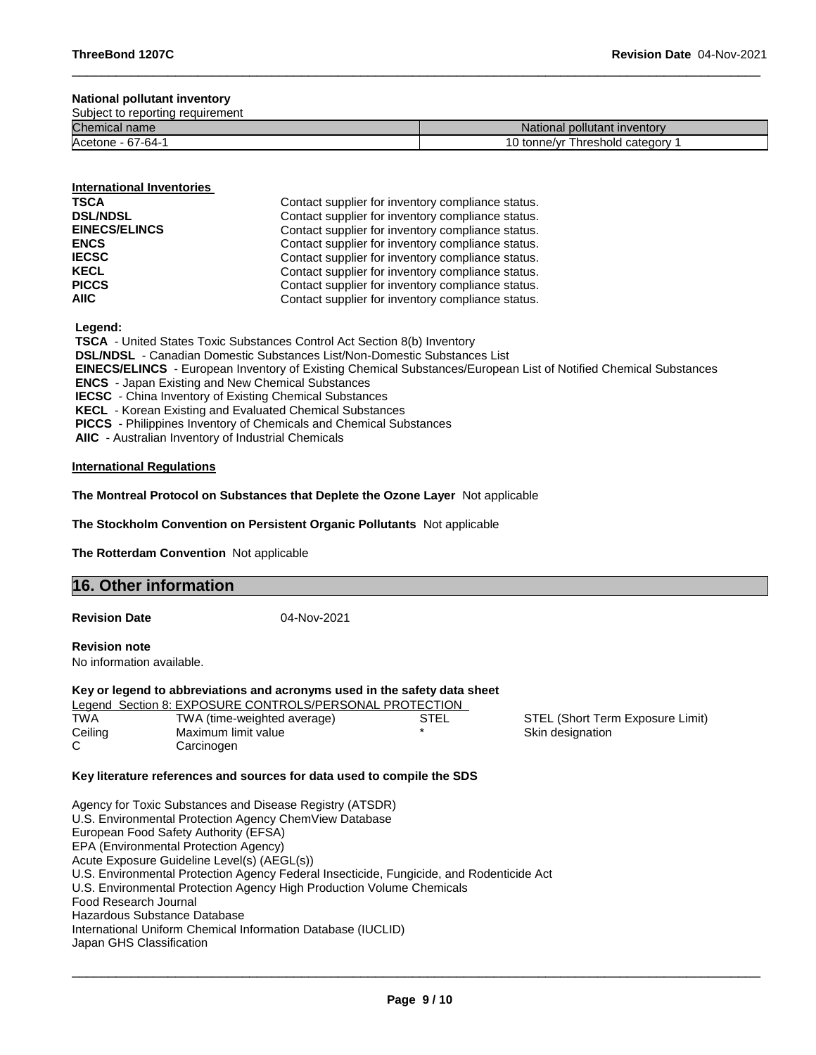## **National pollutant inventory**

Subject to reporting requirement

| <b>Chemical name</b>      | National pollutant inventory            |
|---------------------------|-----------------------------------------|
| Acetone<br>7-R4-<br>$-61$ | category<br>hreshold<br>tonne/vr ر<br>v |

\_\_\_\_\_\_\_\_\_\_\_\_\_\_\_\_\_\_\_\_\_\_\_\_\_\_\_\_\_\_\_\_\_\_\_\_\_\_\_\_\_\_\_\_\_\_\_\_\_\_\_\_\_\_\_\_\_\_\_\_\_\_\_\_\_\_\_\_\_\_\_\_\_\_\_\_\_\_\_\_\_\_\_\_\_\_\_\_\_\_\_\_\_

#### **International Inventories**

| <b>TSCA</b>          | Contact supplier for inventory compliance status. |
|----------------------|---------------------------------------------------|
| <b>DSL/NDSL</b>      | Contact supplier for inventory compliance status. |
| <b>EINECS/ELINCS</b> | Contact supplier for inventory compliance status. |
| <b>ENCS</b>          | Contact supplier for inventory compliance status. |
| <b>IECSC</b>         | Contact supplier for inventory compliance status. |
| <b>KECL</b>          | Contact supplier for inventory compliance status. |
| <b>PICCS</b>         | Contact supplier for inventory compliance status. |
| <b>AIIC</b>          | Contact supplier for inventory compliance status. |

**Legend:** 

**TSCA** - United States Toxic Substances Control Act Section 8(b) Inventory **DSL/NDSL** - Canadian Domestic Substances List/Non-Domestic Substances List **EINECS/ELINCS** - European Inventory of Existing Chemical Substances/European List of Notified Chemical Substances **ENCS** - Japan Existing and New Chemical Substances **IECSC** - China Inventory of Existing Chemical Substances **KECL** - Korean Existing and Evaluated Chemical Substances **PICCS** - Philippines Inventory of Chemicals and Chemical Substances **AIIC** - Australian Inventory of Industrial Chemicals

#### **International Regulations**

**The Montreal Protocol on Substances that Deplete the Ozone Layer** Not applicable

**The Stockholm Convention on Persistent Organic Pollutants** Not applicable

**The Rotterdam Convention** Not applicable

| <b>16. Other information</b> |  |
|------------------------------|--|
|                              |  |

**Revision Date** 04-Nov-2021

**Revision note** 

No information available.

## **Key or legend to abbreviations and acronyms used in the safety data sheet**

|            | Legend Section 8: EXPOSURE CONTROLS/PERSONAL PROTECTION |      |                                  |
|------------|---------------------------------------------------------|------|----------------------------------|
| <b>TWA</b> | TWA (time-weighted average)                             | STEL | STEL (Short Term Exposure Limit) |
| Ceiling    | Maximum limit value                                     |      | Skin designation                 |
|            | Carcinogen                                              |      |                                  |

#### **Key literature references and sources for data used to compile the SDS**

Agency for Toxic Substances and Disease Registry (ATSDR) U.S. Environmental Protection Agency ChemView Database European Food Safety Authority (EFSA) EPA (Environmental Protection Agency) Acute Exposure Guideline Level(s) (AEGL(s)) U.S. Environmental Protection Agency Federal Insecticide, Fungicide, and Rodenticide Act U.S. Environmental Protection Agency High Production Volume Chemicals Food Research Journal Hazardous Substance Database International Uniform Chemical Information Database (IUCLID) Japan GHS Classification